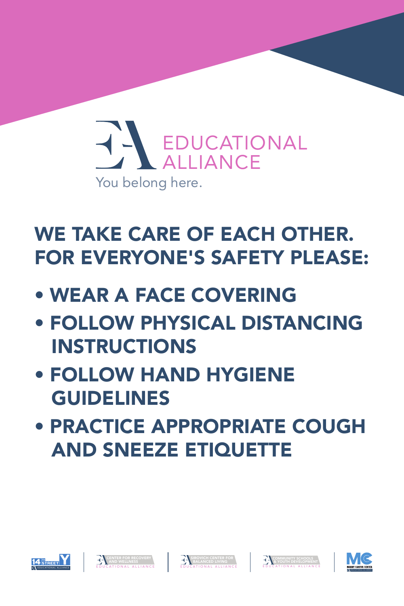









## EDUCATIONAL ALLIANCE You belong here.

## WE TAKE CARE OF EACH OTHER. FOR EVERYONE'S SAFETY PLEASE:

- WEAR A FACE COVERING
- FOLLOW PHYSICAL DISTANCING INSTRUCTIONS
- FOLLOW HAND HYGIENE GUIDELINES
	-

### • PRACTICE APPROPRIATE COUGH AND SNEEZE ETIQUETTE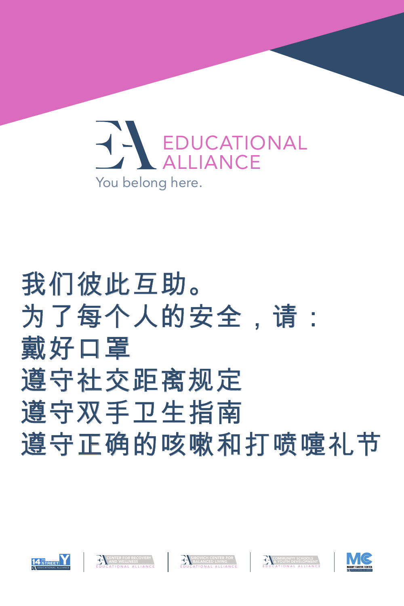







# 我们彼此互助。 为了每个人的安全,请: 朝好口罩 遵守社交距离规定 遵守双手卫生指南 遵守正确的咳嗽和打喷嚏礼节



## EDUCATIONAL ALLIANCE You belong here.